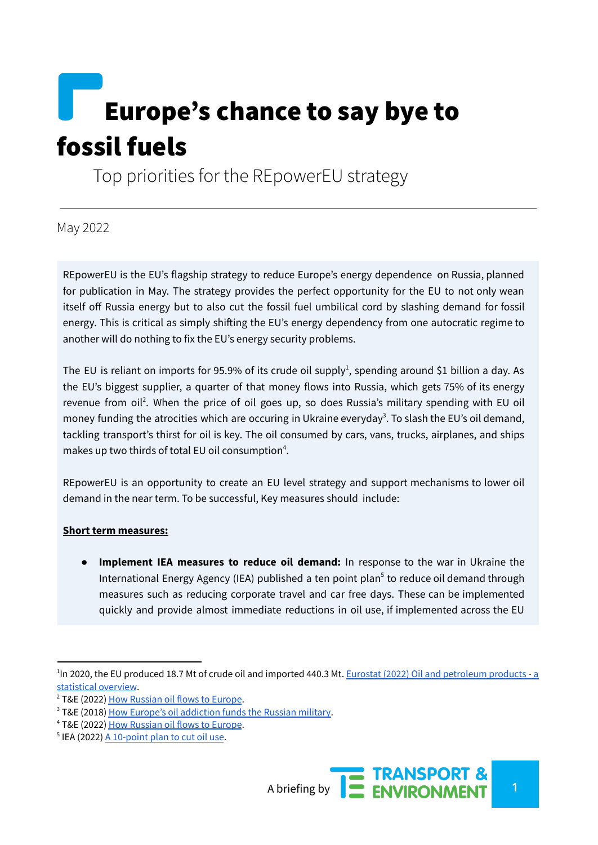# Europe's chance to say bye to fossil fuels

Top priorities for the REpowerEU strategy

May 2022

REpowerEU is the EU's flagship strategy to reduce Europe's energy dependence on Russia, planned for publication in May. The strategy provides the perfect opportunity for the EU to not only wean itself off Russia energy but to also cut the fossil fuel umbilical cord by slashing demand for fossil energy. This is critical as simply shifting the EU's energy dependency from one autocratic regime to another will do nothing to fix the EU's energy security problems.

The EU is reliant on imports for 95.9% of its crude oil supply<sup>1</sup>, spending around \$1 billion a day. As the EU's biggest supplier, a quarter of that money flows into Russia, which gets 75% of its energy revenue from oil<sup>2</sup>. When the price of oil goes up, so does Russia's military spending with EU oil money funding the atrocities which are occuring in Ukraine everyday<sup>3</sup>. To slash the EU's oil demand, tackling transport's thirst for oil is key. The oil consumed by cars, vans, trucks, airplanes, and ships makes up two thirds of total EU oil consumption<sup>4</sup>.

REpowerEU is an opportunity to create an EU level strategy and support mechanisms to lower oil demand in the near term. To be successful, Key measures should include:

#### **Short term measures:**

● **Implement IEA measures to reduce oil demand:** In response to the war in Ukraine the International Energy Agency (IEA) published a ten point plan 5 to reduce oil demand through measures such as reducing corporate travel and car free days. These can be implemented quickly and provide almost immediate reductions in oil use, if implemented across the EU

<sup>&</sup>lt;sup>1</sup>In 2020, the EU produced 18.7 Mt of crude oil and imported 440.3 Mt. Eurostat (2022) Oil and [petroleum](https://ec.europa.eu/eurostat/statistics-explained/index.php?title=Oil_and_petroleum_products_-_a_statistic%20al_overview&oldid=315177) products - a [statistical](https://ec.europa.eu/eurostat/statistics-explained/index.php?title=Oil_and_petroleum_products_-_a_statistic%20al_overview&oldid=315177) overview.

<sup>&</sup>lt;sup>2</sup> T&E (2022) How [Russian](https://www.transportenvironment.org/wp-content/uploads/2022/03/20220303_russian_oil_in_the_EU.pdf) oil flows to Europe.

<sup>3</sup> T&E (2018) How Europe's oil [addiction](https://www.transportenvironment.org/discover/how-europes-oil-addiction-funds-russian-military/) funds the Russian military.

<sup>4</sup> T&E (2022) How [Russian](https://www.transportenvironment.org/wp-content/uploads/2022/03/20220303_russian_oil_in_the_EU.pdf) oil flows to Europe.

 $5$  IEA (2022)  $\underline{A}$  [10-point](https://www.iea.org/reports/a-10-point-plan-to-cut-oil-use) plan to cut oil use.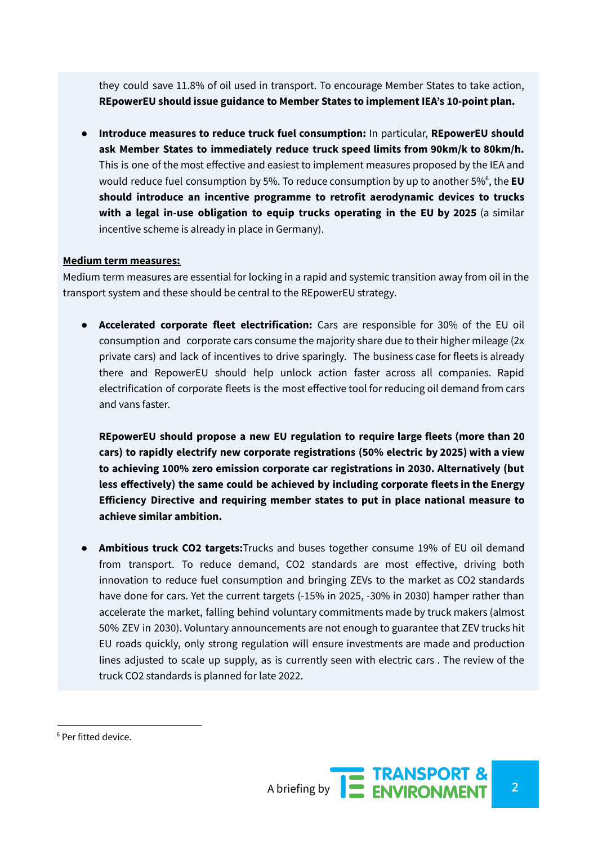they could save 11.8% of oil used in transport. To encourage Member States to take action, **REpowerEU should issue guidance to Member States to implement IEA's 10-point plan.**

● **Introduce measures to reduce truck fuel consumption:** In particular, **REpowerEU should ask Member States to immediately reduce truck speed limits from 90km/k to 80km/h.** This is one of the most effective and easiest to implement measures proposed by the IEA and would reduce fuel consumption by 5%. To reduce consumption by up to another 5% 6 , the **EU should introduce an incentive programme to retrofit aerodynamic devices to trucks with a legal in-use obligation to equip trucks operating in the EU by 2025** (a similar incentive scheme is already in place in Germany).

#### **Medium term measures:**

Medium term measures are essential for locking in a rapid and systemic transition away from oil in the transport system and these should be central to the REpowerEU strategy.

● **Accelerated corporate fleet electrification:** Cars are responsible for 30% of the EU oil consumption and corporate cars consume the majority share due to their higher mileage (2x private cars) and lack of incentives to drive sparingly. The business case for fleets is already there and RepowerEU should help unlock action faster across all companies. Rapid electrification of corporate fleets is the most effective tool for reducing oil demand from cars and vans faster.

**REpowerEU should propose a new EU regulation to require large fleets (more than 20 cars) to rapidly electrify new corporate registrations (50% electric by 2025) with a view to achieving 100% zero emission corporate car registrations in 2030. Alternatively (but less effectively) the same could be achieved by including corporate fleets in the Energy Efficiency Directive and requiring member states to put in place national measure to achieve similar ambition.**

● **Ambitious truck CO2 targets:**Trucks and buses together consume 19% of EU oil demand from transport. To reduce demand, CO2 standards are most effective, driving both innovation to reduce fuel consumption and bringing ZEVs to the market as CO2 standards have done for cars. Yet the current targets (-15% in 2025, -30% in 2030) hamper rather than accelerate the market, falling behind voluntary commitments made by truck makers (almost 50% ZEV in 2030). Voluntary announcements are not enough to guarantee that ZEV trucks hit EU roads quickly, only strong regulation will ensure investments are made and production lines adjusted to scale up supply, as is currently seen with electric cars . The review of the truck CO2 standards is planned for late 2022.

<sup>6</sup> Per fitted device.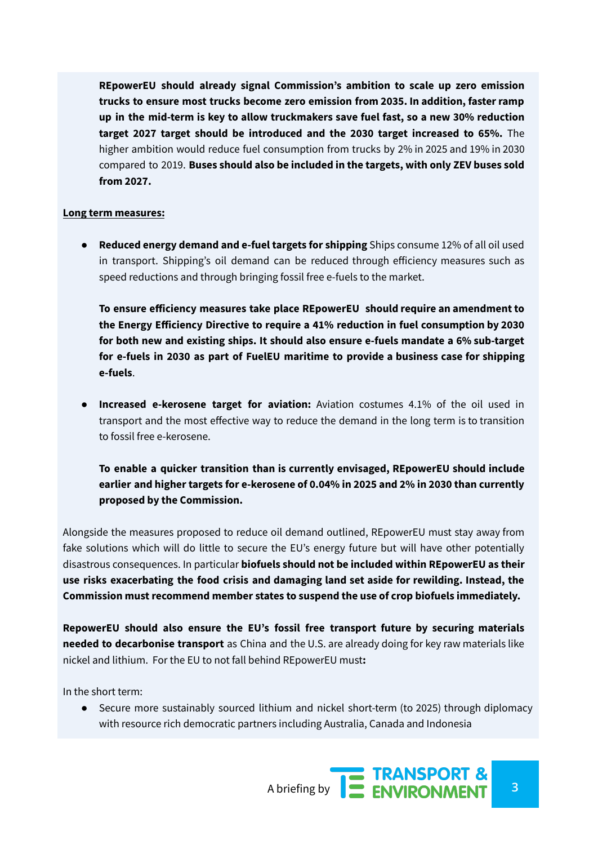**REpowerEU should already signal Commission's ambition to scale up zero emission trucks to ensure most trucks become zero emission from 2035. In addition, faster ramp up in the mid-term is key to allow truckmakers save fuel fast, so a new 30% reduction target 2027 target should be introduced and the 2030 target increased to 65%.** The higher ambition would reduce fuel consumption from trucks by 2% in 2025 and 19% in 2030 compared to 2019. **Buses should also be included in the targets, with only ZEV buses sold from 2027.**

#### **Long term measures:**

● **Reduced energy demand and e-fuel targets for shipping** Ships consume 12% of all oil used in transport. Shipping's oil demand can be reduced through efficiency measures such as speed reductions and through bringing fossil free e-fuels to the market.

**To ensure efficiency measures take place REpowerEU should require an amendment to the Energy Efficiency Directive to require a 41% reduction in fuel consumption by 2030 for both new and existing ships. It should also ensure e-fuels mandate a 6% sub-target for e-fuels in 2030 as part of FuelEU maritime to provide a business case for shipping e-fuels**.

● **Increased e-kerosene target for aviation:** Aviation costumes 4.1% of the oil used in transport and the most effective way to reduce the demand in the long term is to transition to fossil free e-kerosene.

**To enable a quicker transition than is currently envisaged, REpowerEU should include earlier and higher targets for e-kerosene of 0.04% in 2025 and 2% in 2030 than currently proposed by the Commission.**

Alongside the measures proposed to reduce oil demand outlined, REpowerEU must stay away from fake solutions which will do little to secure the EU's energy future but will have other potentially disastrous consequences. In particular **biofuels should not be included within REpowerEU as their use risks exacerbating the food crisis and damaging land set aside for rewilding. Instead, the Commission must recommend member states to suspend the use of crop biofuels immediately.**

**RepowerEU should also ensure the EU's fossil free transport future by securing materials needed to decarbonise transport** as China and the U.S. are already doing for key raw materials like nickel and lithium. For the EU to not fall behind REpowerEU must**:**

In the short term:

● Secure more sustainably sourced lithium and nickel short-term (to 2025) through diplomacy with resource rich democratic partners including Australia, Canada and Indonesia

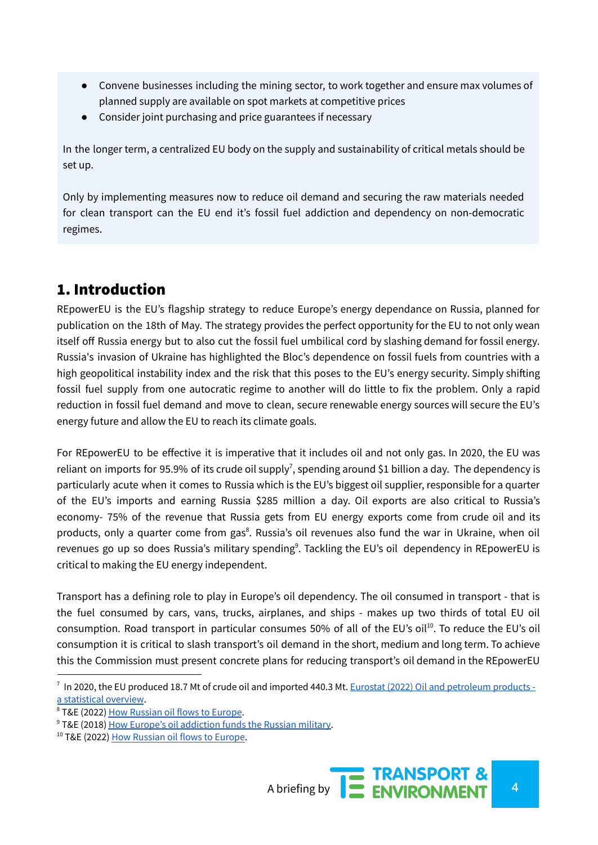- Convene businesses including the mining sector, to work together and ensure max volumes of planned supply are available on spot markets at competitive prices
- Consider joint purchasing and price guarantees if necessary

In the longer term, a centralized EU body on the supply and sustainability of critical metals should be set up.

Only by implementing measures now to reduce oil demand and securing the raw materials needed for clean transport can the EU end it's fossil fuel addiction and dependency on non-democratic regimes.

# 1. Introduction

REpowerEU is the EU's flagship strategy to reduce Europe's energy dependance on Russia, planned for publication on the 18th of May. The strategy provides the perfect opportunity for the EU to not only wean itself off Russia energy but to also cut the fossil fuel umbilical cord by slashing demand for fossil energy. Russia's invasion of Ukraine has highlighted the Bloc's dependence on fossil fuels from countries with a high geopolitical instability index and the risk that this poses to the EU's energy security. Simply shifting fossil fuel supply from one autocratic regime to another will do little to fix the problem. Only a rapid reduction in fossil fuel demand and move to clean, secure renewable energy sources will secure the EU's energy future and allow the EU to reach its climate goals.

For REpowerEU to be effective it is imperative that it includes oil and not only gas. In 2020, the EU was reliant on imports for 95.9% of its crude oil supply<sup>7</sup>, spending around \$1 billion a day. The dependency is particularly acute when it comes to Russia which is the EU's biggest oil supplier, responsible for a quarter of the EU's imports and earning Russia \$285 million a day. Oil exports are also critical to Russia's economy- 75% of the revenue that Russia gets from EU energy exports come from crude oil and its products, only a quarter come from gas<sup>8</sup>. Russia's oil revenues also fund the war in Ukraine, when oil revenues go up so does Russia's military spending<sup>9</sup>. Tackling the EU's oil dependency in REpowerEU is critical to making the EU energy independent.

Transport has a defining role to play in Europe's oil dependency. The oil consumed in transport - that is the fuel consumed by cars, vans, trucks, airplanes, and ships - makes up two thirds of total EU oil consumption. Road transport in particular consumes 50% of all of the EU's oil<sup>10</sup>. To reduce the EU's oil consumption it is critical to slash transport's oil demand in the short, medium and long term. To achieve this the Commission must present concrete plans for reducing transport's oil demand in the REpowerEU

<sup>&</sup>lt;sup>7</sup> In 2020, the EU produced 18.7 Mt of crude oil and imported 440.3 Mt. Eurostat (2022) Oil and [petroleum](https://ec.europa.eu/eurostat/statistics-explained/index.php?title=Oil_and_petroleum_products_-_a_statistic%20al_overview&oldid=315177) products a [statistical](https://ec.europa.eu/eurostat/statistics-explained/index.php?title=Oil_and_petroleum_products_-_a_statistic%20al_overview&oldid=315177) overview.

<sup>8</sup> T&E (2022) How [Russian](https://www.transportenvironment.org/wp-content/uploads/2022/03/20220303_russian_oil_in_the_EU.pdf) oil flows to Europe.

<sup>&</sup>lt;sup>9</sup> T&E (2018) How Europe's oil [addiction](https://www.transportenvironment.org/discover/how-europes-oil-addiction-funds-russian-military/) funds the Russian military.

<sup>&</sup>lt;sup>10</sup> T&E (2022) How [Russian](https://www.transportenvironment.org/wp-content/uploads/2022/03/20220303_russian_oil_in_the_EU.pdf) oil flows to Europe.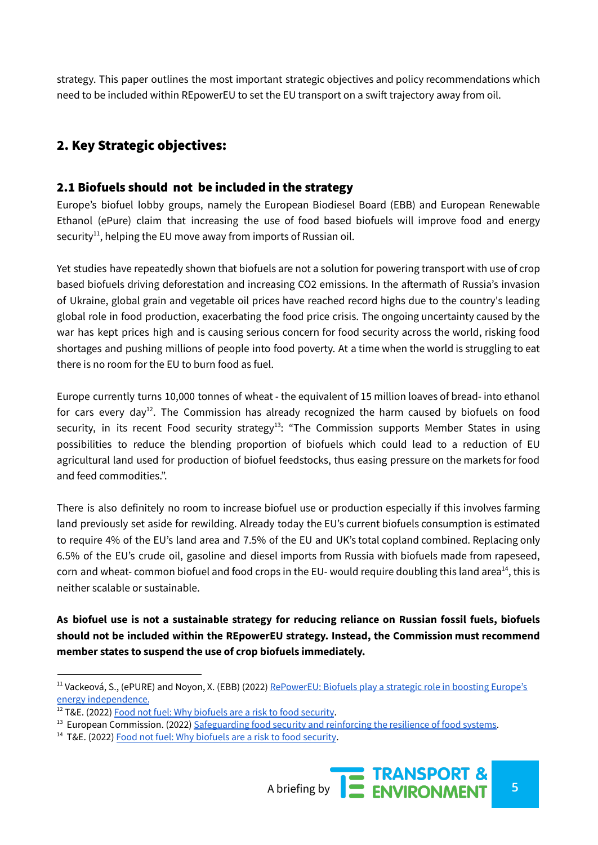strategy. This paper outlines the most important strategic objectives and policy recommendations which need to be included within REpowerEU to set the EU transport on a swift trajectory away from oil.

## 2. Key Strategic objectives:

#### 2.1 Biofuels should not be included in the strategy

Europe's biofuel lobby groups, namely the European Biodiesel Board (EBB) and European Renewable Ethanol (ePure) claim that increasing the use of food based biofuels will improve food and energy security<sup>11</sup>, helping the EU move away from imports of Russian oil.

Yet studies have repeatedly shown that biofuels are not a solution for powering transport with use of crop based biofuels driving deforestation and increasing CO2 emissions. In the aftermath of Russia's invasion of Ukraine, global grain and vegetable oil prices have reached record highs due to the country's leading global role in food production, exacerbating the food price crisis. The ongoing uncertainty caused by the war has kept prices high and is causing serious concern for food security across the world, risking food shortages and pushing millions of people into food poverty. At a time when the world is struggling to eat there is no room for the EU to burn food as fuel.

Europe currently turns 10,000 tonnes of wheat - the equivalent of 15 million loaves of bread- into ethanol for cars every day<sup>12</sup>. The Commission has already recognized the harm caused by biofuels on food security, in its recent Food security strategy<sup>13</sup>: "The Commission supports Member States in using possibilities to reduce the blending proportion of biofuels which could lead to a reduction of EU agricultural land used for production of biofuel feedstocks, thus easing pressure on the markets for food and feed commodities.".

There is also definitely no room to increase biofuel use or production especially if this involves farming land previously set aside for rewilding. Already today the EU's current biofuels consumption is estimated to require 4% of the EU's land area and 7.5% of the EU and UK's total copland combined. Replacing only 6.5% of the EU's crude oil, gasoline and diesel imports from Russia with biofuels made from rapeseed, corn and wheat- common biofuel and food crops in the EU- would require doubling this land area<sup>14</sup>, this is neither scalable or sustainable.

**As biofuel use is not a sustainable strategy for reducing reliance on Russian fossil fuels, biofuels should not be included within the REpowerEU strategy. Instead, the Commission must recommend member states to suspend the use of crop biofuels immediately.**

<sup>11</sup> Vackeová, S., (ePURE) and Noyon, X. (EBB) (2022) [RePowerEU:](https://www.epure.org/news/repowereu-biofuels-play-a-strategic-role-in-boosting-europes-energy-independence/) Biofuels play a strategic role in boosting Europe's energy [independence.](https://www.epure.org/news/repowereu-biofuels-play-a-strategic-role-in-boosting-europes-energy-independence/)

<sup>&</sup>lt;sup>12</sup> T&E. (2022) Food not fuel: Why [biofuels](https://www.transportenvironment.org/discover/food-not-fuel-why-biofuels-are-a-risk-to-food-security/) are a risk to food security.

 $<sup>13</sup>$  European Commission. (2022) [Safeguarding](https://ec.europa.eu/info/sites/default/files/food-farming-fisheries/key_policies/documents/safeguarding-food-security-reinforcing-resilience-food-systems.pdf) food security and reinforcing the resilience of food systems.</sup>

<sup>&</sup>lt;sup>14</sup> T&E. (2022) Food not fuel: Why [biofuels](https://www.transportenvironment.org/discover/food-not-fuel-why-biofuels-are-a-risk-to-food-security/) are a risk to food security.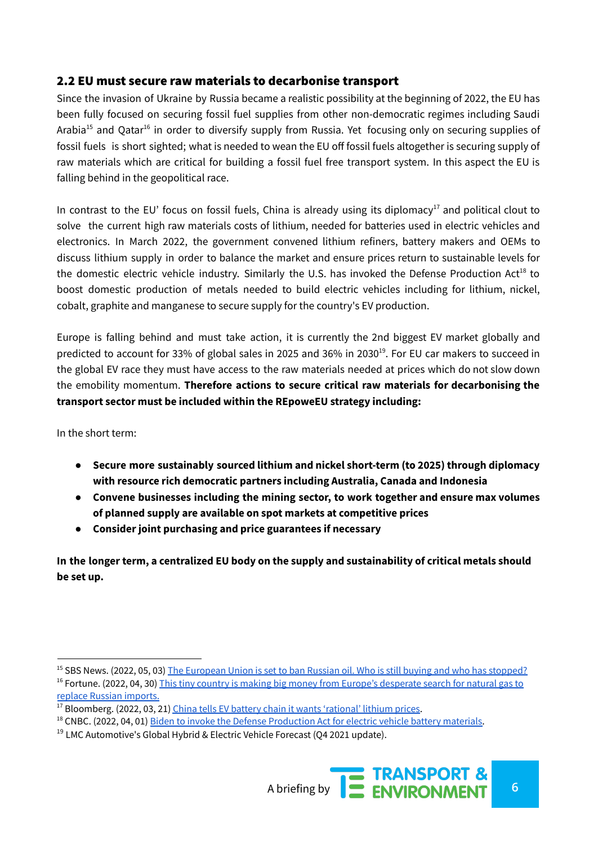#### 2.2 EU must secure raw materials to decarbonise transport

Since the invasion of Ukraine by Russia became a realistic possibility at the beginning of 2022, the EU has been fully focused on securing fossil fuel supplies from other non-democratic regimes including Saudi Arabia<sup>15</sup> and Qatar<sup>16</sup> in order to diversify supply from Russia. Yet focusing only on securing supplies of fossil fuels is short sighted; what is needed to wean the EU off fossil fuels altogether is securing supply of raw materials which are critical for building a fossil fuel free transport system. In this aspect the EU is falling behind in the geopolitical race.

In contrast to the EU' focus on fossil fuels, China is already using its diplomacy<sup>17</sup> and political clout to solve the current high raw materials costs of lithium, needed for batteries used in electric vehicles and electronics. In March 2022, the government convened lithium refiners, battery makers and OEMs to discuss lithium supply in order to balance the market and ensure prices return to sustainable levels for the domestic electric vehicle industry. Similarly the U.S. has invoked the Defense Production Act<sup>18</sup> to boost domestic production of metals needed to build electric vehicles including for lithium, nickel, cobalt, graphite and manganese to secure supply for the country's EV production.

Europe is falling behind and must take action, it is currently the 2nd biggest EV market globally and predicted to account for 33% of global sales in 2025 and 36% in 2030<sup>19</sup>. For EU car makers to succeed in the global EV race they must have access to the raw materials needed at prices which do not slow down the emobility momentum. **Therefore actions to secure critical raw materials for decarbonising the transport sector must be included within the REpoweEU strategy including:**

In the short term:

- **● Secure more sustainably sourced lithium and nickel short-term (to 2025) through diplomacy with resource rich democratic partners including Australia, Canada and Indonesia**
- **● Convene businesses including the mining sector, to work together and ensure max volumes of planned supply are available on spot markets at competitive prices**
- **● Consider joint purchasing and price guarantees if necessary**

**In the longer term, a centralized EU body on the supply and sustainability of critical metals should be set up.**

<sup>&</sup>lt;sup>16</sup> Fortune. (2022, 04, 30) This tiny country is making big money from Europe's [desperate](https://fortune.com/2022/04/30/qatar-lng-replace-russian-natural-gas/) search for natural gas to replace Russian [imports.](https://fortune.com/2022/04/30/qatar-lng-replace-russian-natural-gas/) <sup>15</sup> SBS News. (2022, 05, 03) The [European](https://www.sbs.com.au/news/article/the-european-union-is-set-to-ban-russian-oil-who-is-still-buying-it-and-who-has-stopped/udb4jht6y) Union is set to ban Russian oil. Who is still buying and who has stopped?

 $17$  Bloomberg. (2022, 03, 21) China tells EV battery chain it wants ['rational'](https://www.bloomberg.com/news/articles/2022-03-21/china-tells-ev-battery-chain-it-wants-rational-lithium-prices) lithium prices.

<sup>&</sup>lt;sup>18</sup> CNBC. (2022, 04, 01) Biden to invoke the Defense [Production](https://www.cnbc.com/2022/03/31/biden-to-invoke-defense-production-act-for-ev-battery-materials.html) Act for electric vehicle battery materials.

 $19$  LMC Automotive's Global Hybrid & Electric Vehicle Forecast (04 2021 update).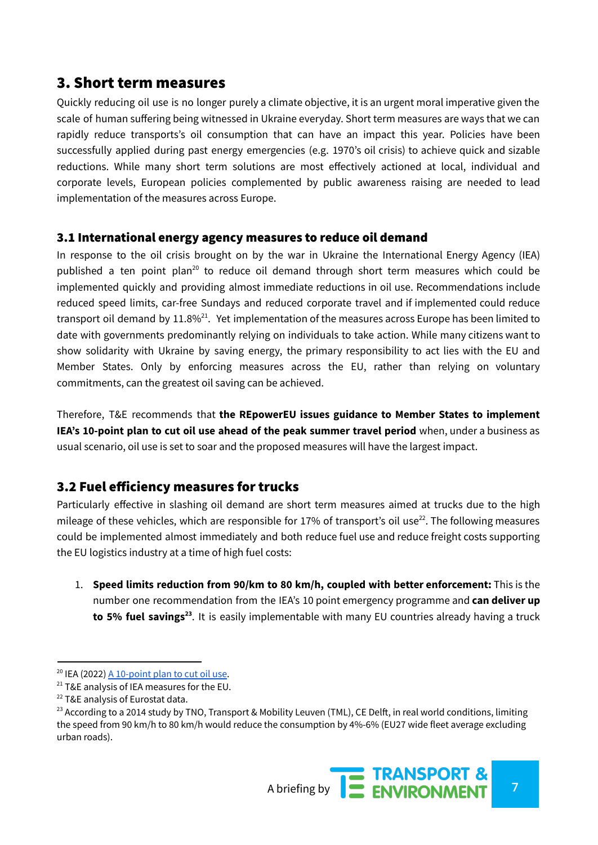## 3. Short term measures

Quickly reducing oil use is no longer purely a climate objective, it is an urgent moral imperative given the scale of human suffering being witnessed in Ukraine everyday. Short term measures are ways that we can rapidly reduce transports's oil consumption that can have an impact this year. Policies have been successfully applied during past energy emergencies (e.g. 1970's oil crisis) to achieve quick and sizable reductions. While many short term solutions are most effectively actioned at local, individual and corporate levels, European policies complemented by public awareness raising are needed to lead implementation of the measures across Europe.

#### 3.1 International energy agency measures to reduce oil demand

In response to the oil crisis brought on by the war in Ukraine the International Energy Agency (IEA) published a ten point plan<sup>20</sup> to reduce oil demand through short term measures which could be implemented quickly and providing almost immediate reductions in oil use. Recommendations include reduced speed limits, car-free Sundays and reduced corporate travel and if implemented could reduce transport oil demand by 11.8% $^{21}$ . Yet implementation of the measures across Europe has been limited to date with governments predominantly relying on individuals to take action. While many citizens want to show solidarity with Ukraine by saving energy, the primary responsibility to act lies with the EU and Member States. Only by enforcing measures across the EU, rather than relying on voluntary commitments, can the greatest oil saving can be achieved.

Therefore, T&E recommends that **the REpowerEU issues guidance to Member States to implement IEA's 10-point plan to cut oil use ahead of the peak summer travel period** when, under a business as usual scenario, oil use is set to soar and the proposed measures will have the largest impact.

### 3.2 Fuel efficiency measures for trucks

Particularly effective in slashing oil demand are short term measures aimed at trucks due to the high mileage of these vehicles, which are responsible for 17% of transport's oil use<sup>22</sup>. The following measures could be implemented almost immediately and both reduce fuel use and reduce freight costs supporting the EU logistics industry at a time of high fuel costs:

1. **Speed limits reduction from 90/km to 80 km/h, coupled with better enforcement:** This is the number one recommendation from the IEA's 10 point emergency programme and **can deliver up to 5% fuel savings 23** . It is easily implementable with many EU countries already having a truck

<sup>&</sup>lt;sup>20</sup> IEA (2022) <u>A [10-point](https://www.iea.org/reports/a-10-point-plan-to-cut-oil-use) plan to cut oil use</u>.

 $21$  T&E analysis of IEA measures for the EU.

<sup>&</sup>lt;sup>22</sup> T&E analysis of Eurostat data.

<sup>&</sup>lt;sup>23</sup> According to a 2014 study by TNO, Transport & Mobility Leuven (TML), CE Delft, in real world conditions, limiting the speed from 90 km/h to 80 km/h would reduce the consumption by 4%-6% (EU27 wide fleet average excluding urban roads).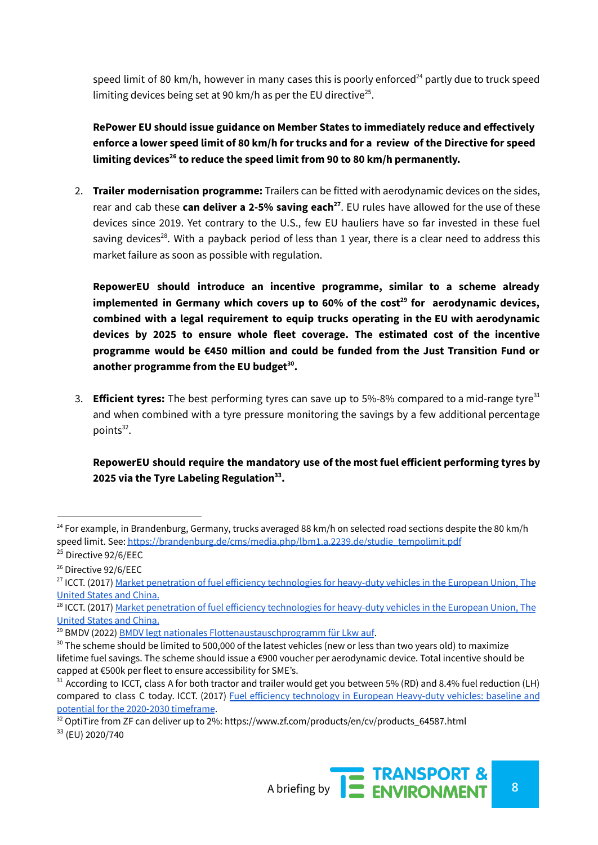speed limit of 80 km/h, however in many cases this is poorly enforced $^{24}$  partly due to truck speed limiting devices being set at 90 km/h as per the EU directive<sup>25</sup>.

**RePower EU should issue guidance on Member States to immediately reduce and effectively** enforce a lower speed limit of 80 km/h for trucks and for a review of the Directive for speed **limiting devices 26 to reduce the speed limit from 90 to 80 km/h permanently.**

2. **Trailer modernisation programme:** Trailers can be fitted with aerodynamic devices on the sides, rear and cab these **can deliver a 2-5% saving each 27** . EU rules have allowed for the use of these devices since 2019. Yet contrary to the U.S., few EU hauliers have so far invested in these fuel saving devices<sup>28</sup>. With a payback period of less than 1 year, there is a clear need to address this market failure as soon as possible with regulation.

**RepowerEU should introduce an incentive programme, similar to a scheme already implemented in Germany which covers up to 60% of the cost 29 for aerodynamic devices, combined with a legal requirement to equip trucks operating in the EU with aerodynamic devices by 2025 to ensure whole fleet coverage. The estimated cost of the incentive programme would be €450 million and could be funded from the Just Transition Fund or another programme from the EU budget 30 .**

3. **Efficient tyres:** The best performing tyres can save up to 5%-8% compared to a mid-range tyre 31 and when combined with a tyre pressure monitoring the savings by a few additional percentage points 32 .

#### **RepowerEU should require the mandatory use of the most fuel efficient performing tyres by 2025 via the Tyre Labeling Regulation 33 .**

33 (EU) 2020/740



<sup>&</sup>lt;sup>24</sup> For example, in Brandenburg, Germany, trucks averaged 88 km/h on selected road sections despite the 80 km/h speed limit. See: [https://brandenburg.de/cms/media.php/lbm1.a.2239.de/studie\\_tempolimit.pdf](https://brandenburg.de/cms/media.php/lbm1.a.2239.de/studie_tempolimit.pdf)

<sup>&</sup>lt;sup>25</sup> Directive 92/6/EEC

<sup>26</sup> Directive 92/6/EEC

<sup>&</sup>lt;sup>27</sup> ICCT. (2017) <u>Market penetration of fuel efficiency [technologies](https://theicct.org/wp-content/uploads/2021/06/HDV-market-penetration_ICCT_White-Paper_050917_vF_corrected.pdf) for heavy-duty vehicles in the European Union, The</u> [United](https://theicct.org/wp-content/uploads/2021/06/HDV-market-penetration_ICCT_White-Paper_050917_vF_corrected.pdf) States and China.

<sup>&</sup>lt;sup>28</sup> ICCT. (2017) <u>Market penetration of fuel efficiency [technologies](https://theicct.org/wp-content/uploads/2021/06/HDV-market-penetration_ICCT_White-Paper_050917_vF_corrected.pdf) for heavy-duty vehicles in the European Union, The</u> [United](https://theicct.org/wp-content/uploads/2021/06/HDV-market-penetration_ICCT_White-Paper_050917_vF_corrected.pdf) States and China.

<sup>&</sup>lt;sup>29</sup> BMDV (2022) BMDV legt nationales [Flottenaustauschprogramm](https://www.bmvi.de/SharedDocs/DE/Artikel/StV/Strassenverkehr/bmdv-legt-nationales-flottenaustauschprogramm-fuer-lkw-auf.html) für Lkw auf.

 $30$  The scheme should be limited to 500,000 of the latest vehicles (new or less than two years old) to maximize lifetime fuel savings. The scheme should issue a €900 voucher per aerodynamic device. Total incentive should be capped at €500k per fleet to ensure accessibility for SME's.

 $31$  According to ICCT, class A for both tractor and trailer would get you between 5% (RD) and 8.4% fuel reduction (LH) compared to class C today. ICCT. (2017) Fuel efficiency technology in European [Heavy-duty](https://theicct.org/wp-content/uploads/2021/06/EU-HDV-Tech-Potential_ICCT-white-paper_14072017_vF.pdf) vehicles: baseline and potential for the 2020-2030 [timeframe](https://theicct.org/wp-content/uploads/2021/06/EU-HDV-Tech-Potential_ICCT-white-paper_14072017_vF.pdf).

 $32$  OptiTire from ZF can deliver up to 2%: https://www.zf.com/products/en/cv/products\_64587.html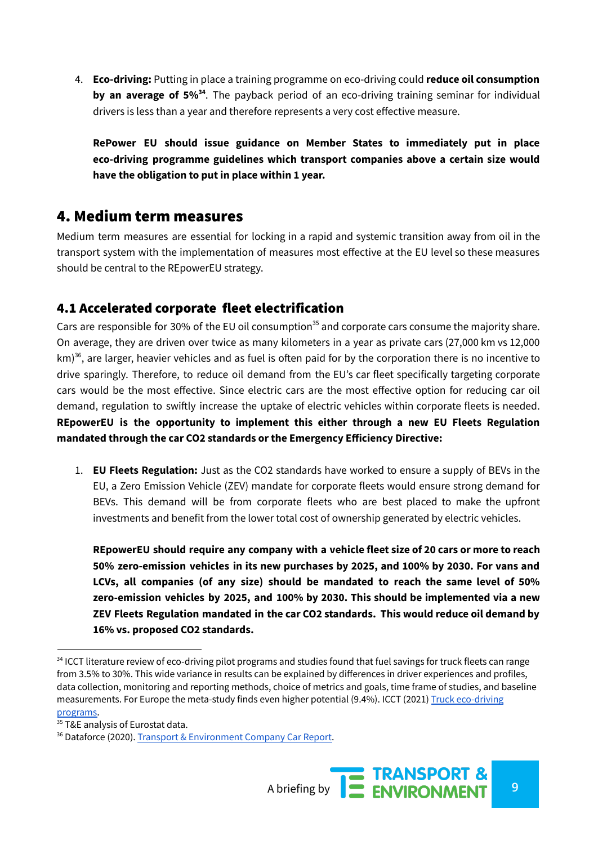4. **Eco-driving:** Putting in place a training programme on eco-driving could **reduce oil consumption by an average of 5%<sup>34</sup>** . The payback period of an eco-driving training seminar for individual drivers is less than a year and therefore represents a very cost effective measure.

**RePower EU should issue guidance on Member States to immediately put in place eco-driving programme guidelines which transport companies above a certain size would have the obligation to put in place within 1 year.**

## 4. Medium term measures

Medium term measures are essential for locking in a rapid and systemic transition away from oil in the transport system with the implementation of measures most effective at the EU level so these measures should be central to the REpowerEU strategy.

## 4.1 Accelerated corporate fleet electrification

Cars are responsible for 30% of the EU oil consumption<sup>35</sup> and corporate cars consume the majority share. On average, they are driven over twice as many kilometers in a year as private cars (27,000 km vs 12,000 km)<sup>36</sup>, are larger, heavier vehicles and as fuel is often paid for by the corporation there is no incentive to drive sparingly. Therefore, to reduce oil demand from the EU's car fleet specifically targeting corporate cars would be the most effective. Since electric cars are the most effective option for reducing car oil demand, regulation to swiftly increase the uptake of electric vehicles within corporate fleets is needed. **REpowerEU is the opportunity to implement this either through a new EU Fleets Regulation mandated through the car CO2 standards or the Emergency Efficiency Directive:**

1. **EU Fleets Regulation:** Just as the CO2 standards have worked to ensure a supply of BEVs in the EU, a Zero Emission Vehicle (ZEV) mandate for corporate fleets would ensure strong demand for BEVs. This demand will be from corporate fleets who are best placed to make the upfront investments and benefit from the lower total cost of ownership generated by electric vehicles.

**REpowerEU should require any company with a vehicle fleet size of 20 cars or more to reach 50% zero-emission vehicles in its new purchases by 2025, and 100% by 2030. For vans and LCVs, all companies (of any size) should be mandated to reach the same level of 50% zero-emission vehicles by 2025, and 100% by 2030. This should be implemented via a new ZEV Fleets Regulation mandated in the car CO2 standards. This would reduce oil demand by 16% vs. proposed CO2 standards.**

<sup>&</sup>lt;sup>34</sup> ICCT literature review of eco-driving pilot programs and studies found that fuel savings for truck fleets can range from 3.5% to 30%. This wide variance in results can be explained by differences in driver experiences and profiles, data collection, monitoring and reporting methods, choice of metrics and goals, time frame of studies, and baseline measurements. For Europe the meta-study finds even higher potential (9.4%). ICCT (2021) Truck [eco-driving](https://theicct.org/sites/default/files/publications/eco-driving-latam-EN-apr2021.pdf) [programs.](https://theicct.org/sites/default/files/publications/eco-driving-latam-EN-apr2021.pdf)

<sup>35</sup> T&E analysis of Eurostat data.

<sup>36</sup> Dataforce (2020). Transport & [Environment](https://www.transportenvironment.org/discover/company-cars-how-european-governments-are-subsidising-pollution-and-climate-change/) Company Car Report.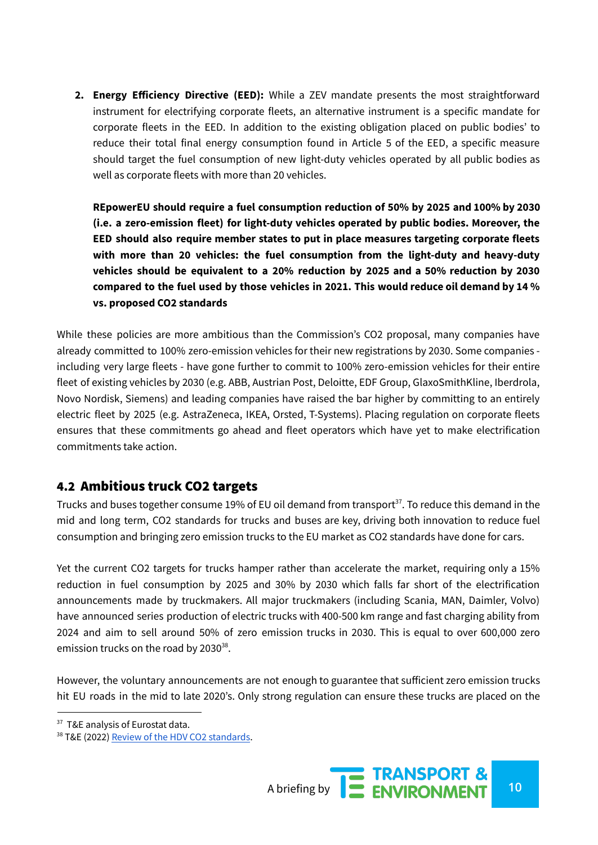**2. Energy Efficiency Directive (EED):** While a ZEV mandate presents the most straightforward instrument for electrifying corporate fleets, an alternative instrument is a specific mandate for corporate fleets in the EED. In addition to the existing obligation placed on public bodies' to reduce their total final energy consumption found in Article 5 of the EED, a specific measure should target the fuel consumption of new light-duty vehicles operated by all public bodies as well as corporate fleets with more than 20 vehicles.

**REpowerEU should require a fuel consumption reduction of 50% by 2025 and 100% by 2030 (i.e. a zero-emission fleet) for light-duty vehicles operated by public bodies. Moreover, the EED should also require member states to put in place measures targeting corporate fleets with more than 20 vehicles: the fuel consumption from the light-duty and heavy-duty vehicles should be equivalent to a 20% reduction by 2025 and a 50% reduction by 2030 compared to the fuel used by those vehicles in 2021. This would reduce oil demand by 14 % vs. proposed CO2 standards**

While these policies are more ambitious than the Commission's CO2 proposal, many companies have already committed to 100% zero-emission vehicles for their new registrations by 2030. Some companies including very large fleets - have gone further to commit to 100% zero-emission vehicles for their entire fleet of existing vehicles by 2030 (e.g. ABB, Austrian Post, Deloitte, EDF Group, GlaxoSmithKline, Iberdrola, Novo Nordisk, Siemens) and leading companies have raised the bar higher by committing to an entirely electric fleet by 2025 (e.g. AstraZeneca, IKEA, Orsted, T-Systems). Placing regulation on corporate fleets ensures that these commitments go ahead and fleet operators which have yet to make electrification commitments take action.

#### 4.2 Ambitious truck CO2 targets

Trucks and buses together consume 19% of EU oil demand from transport<sup>37</sup>. To reduce this demand in the mid and long term, CO2 standards for trucks and buses are key, driving both innovation to reduce fuel consumption and bringing zero emission trucks to the EU market as CO2 standards have done for cars.

Yet the current CO2 targets for trucks hamper rather than accelerate the market, requiring only a 15% reduction in fuel consumption by 2025 and 30% by 2030 which falls far short of the electrification announcements made by truckmakers. All major truckmakers (including Scania, MAN, Daimler, Volvo) have announced series production of electric trucks with 400-500 km range and fast charging ability from 2024 and aim to sell around 50% of zero emission trucks in 2030. This is equal to over 600,000 zero emission trucks on the road by 2030<sup>38</sup>.

However, the voluntary announcements are not enough to guarantee that sufficient zero emission trucks hit EU roads in the mid to late 2020's. Only strong regulation can ensure these trucks are placed on the

<sup>&</sup>lt;sup>37</sup> T&E analysis of Eurostat data.

<sup>&</sup>lt;sup>38</sup> T&E (2022) Review of the HDV CO2 [standards](https://www.transportenvironment.org/wp-content/uploads/2022/02/2022_02_TE_HDV_CO2_consultation_response_final.pdf).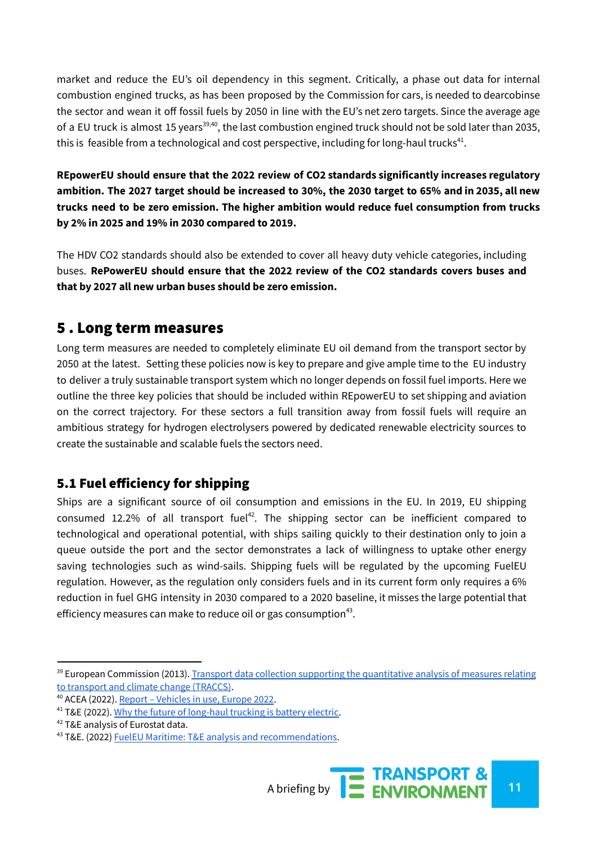market and reduce the EU's oil dependency in this segment. Critically, a phase out data for internal combustion engined trucks, as has been proposed by the Commission for cars, is needed to dearcobinse the sector and wean it off fossil fuels by 2050 in line with the EU's net zero targets. Since the average age of a EU truck is almost 15 years<sup>39,40</sup>, the last combustion engined truck should not be sold later than 2035, this is feasible from a technological and cost perspective, including for long-haul trucks $^{41}$ .

**REpowerEU should ensure that the 2022 review of CO2 standards significantly increases regulatory** ambition. The 2027 target should be increased to 30%, the 2030 target to 65% and in 2035, all new **trucks need to be zero emission. The higher ambition would reduce fuel consumption from trucks by 2% in 2025 and 19% in 2030 compared to 2019.**

The HDV CO2 standards should also be extended to cover all heavy duty vehicle categories, including buses. **RePowerEU should ensure that the 2022 review of the CO2 standards covers buses and that by 2027 all new urban buses should be zero emission.**

## 5 . Long term measures

Long term measures are needed to completely eliminate EU oil demand from the transport sector by 2050 at the latest. Setting these policies now is key to prepare and give ample time to the EU industry to deliver a truly sustainable transport system which no longer depends on fossil fuel imports. Here we outline the three key policies that should be included within REpowerEU to set shipping and aviation on the correct trajectory. For these sectors a full transition away from fossil fuels will require an ambitious strategy for hydrogen electrolysers powered by dedicated renewable electricity sources to create the sustainable and scalable fuels the sectors need.

### 5.1 Fuel efficiency for shipping

Ships are a significant source of oil consumption and emissions in the EU. In 2019, EU shipping consumed 12.2% of all transport fuel<sup>42</sup>. The shipping sector can be inefficient compared to technological and operational potential, with ships sailing quickly to their destination only to join a queue outside the port and the sector demonstrates a lack of willingness to uptake other energy saving technologies such as wind-sails. Shipping fuels will be regulated by the upcoming FuelEU regulation. However, as the regulation only considers fuels and in its current form only requires a 6% reduction in fuel GHG intensity in 2030 compared to a 2020 baseline, it misses the large potential that efficiency measures can make to reduce oil or gas consumption<sup>43</sup>.

<sup>&</sup>lt;sup>39</sup> European Commission (2013). Transport data collection supporting the [quantitative](https://traccs.emisia.com/) analysis of measures relating to [transport](https://traccs.emisia.com/) and climate change (TRACCS).

<sup>40</sup> ACEA (2022). Report – [Vehicles](http://link) in use, Europe 2022.

<sup>&</sup>lt;sup>41</sup> T&E (2022). Why the future of [long-haul](https://www.transportenvironment.org/discover/why-the-future-of-long-haul-trucking-is-battery-electric/) trucking is battery electric.

<sup>&</sup>lt;sup>42</sup> T&E analysis of Eurostat data.

<sup>43</sup> T&E. (2022) FuelEU Maritime: T&E analysis and [recommendations.](https://www.transportenvironment.org/wp-content/uploads/2022/02/TE-Report-FuelEU-Maritime-1.pdf)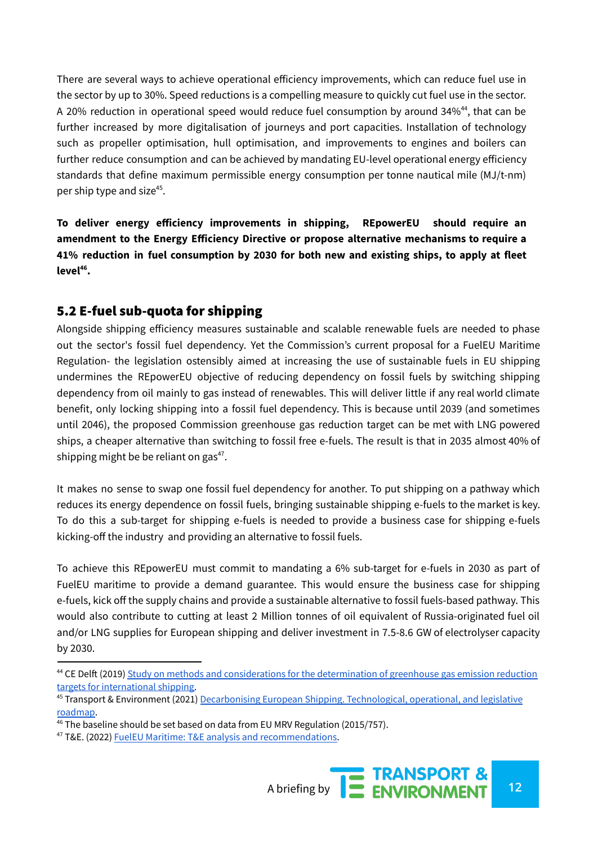There are several ways to achieve operational efficiency improvements, which can reduce fuel use in the sector by up to 30%. Speed reductions is a compelling measure to quickly cut fuel use in the sector. A 20% reduction in operational speed would reduce fuel consumption by around 34%<sup>44</sup>, that can be further increased by more digitalisation of journeys and port capacities. Installation of technology such as propeller optimisation, hull optimisation, and improvements to engines and boilers can further reduce consumption and can be achieved by mandating EU-level operational energy efficiency standards that define maximum permissible energy consumption per tonne nautical mile (MJ/t-nm) per ship type and size<sup>45</sup>.

**To deliver energy efficiency improvements in shipping, REpowerEU should require an amendment to the Energy Efficiency Directive or propose alternative mechanisms to require a 41% reduction in fuel consumption by 2030 for both new and existing ships, to apply at fleet level 46 .**

## 5.2 E-fuel sub-quota for shipping

Alongside shipping efficiency measures sustainable and scalable renewable fuels are needed to phase out the sector's fossil fuel dependency. Yet the Commission's current proposal for a FuelEU Maritime Regulation- the legislation ostensibly aimed at increasing the use of sustainable fuels in EU shipping undermines the REpowerEU objective of reducing dependency on fossil fuels by switching shipping dependency from oil mainly to gas instead of renewables. This will deliver little if any real world climate benefit, only locking shipping into a fossil fuel dependency. This is because until 2039 (and sometimes until 2046), the proposed Commission greenhouse gas reduction target can be met with LNG powered ships, a cheaper alternative than switching to fossil free e-fuels. The result is that in 2035 almost 40% of shipping might be be reliant on gas<sup>47</sup>.

It makes no sense to swap one fossil fuel dependency for another. To put shipping on a pathway which reduces its energy dependence on fossil fuels, bringing sustainable shipping e-fuels to the market is key. To do this a sub-target for shipping e-fuels is needed to provide a business case for shipping e-fuels kicking-off the industry and providing an alternative to fossil fuels.

To achieve this REpowerEU must commit to mandating a 6% sub-target for e-fuels in 2030 as part of FuelEU maritime to provide a demand guarantee. This would ensure the business case for shipping e-fuels, kick off the supply chains and provide a sustainable alternative to fossil fuels-based pathway. This would also contribute to cutting at least 2 Million tonnes of oil equivalent of Russia-originated fuel oil and/or LNG supplies for European shipping and deliver investment in 7.5-8.6 GW of electrolyser capacity by 2030.

<sup>&</sup>lt;sup>44</sup> CE Delft (2019) Study on methods and [considerations](https://cedelft.eu/wp-content/uploads/sites/2/2021/03/CE_Delft_7M92_Study_on_methods_and_considerations_for_the_determination_of_greenhouse_gas_Def.pdf) for the determination of greenhouse gas emission reduction targets for [international](https://cedelft.eu/wp-content/uploads/sites/2/2021/03/CE_Delft_7M92_Study_on_methods_and_considerations_for_the_determination_of_greenhouse_gas_Def.pdf) shipping.

<sup>45</sup> Transport & Environment (2021) Decarbonising European Shipping. [Technological,](https://www.transportenvironment.org/wp-content/uploads/2021/07/202104_Shipping_Technological_Roadmap_to_Decarbonization.pdf) operational, and legislative [roadmap.](https://www.transportenvironment.org/wp-content/uploads/2021/07/202104_Shipping_Technological_Roadmap_to_Decarbonization.pdf)

 $46$  The baseline should be set based on data from EU MRV Regulation (2015/757).

<sup>47</sup> T&E. (2022) FuelEU Maritime: T&E analysis and [recommendations.](https://www.transportenvironment.org/wp-content/uploads/2022/02/TE-Report-FuelEU-Maritime-1.pdf)